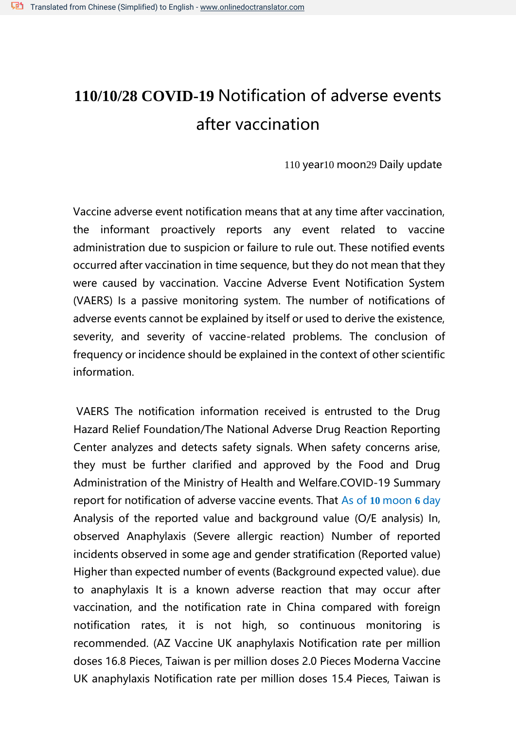## **110/10/28 COVID-19** Notification of adverse events after vaccination

110 year10 moon29 Daily update

Vaccine adverse event notification means that at any time after vaccination, the informant proactively reports any event related to vaccine administration due to suspicion or failure to rule out. These notified events occurred after vaccination in time sequence, but they do not mean that they were caused by vaccination. Vaccine Adverse Event Notification System (VAERS) Is a passive monitoring system. The number of notifications of adverse events cannot be explained by itself or used to derive the existence, severity, and severity of vaccine-related problems. The conclusion of frequency or incidence should be explained in the context of other scientific information.

VAERS The notification information received is entrusted to the Drug Hazard Relief Foundation/The National Adverse Drug Reaction Reporting Center analyzes and detects safety signals. When safety concerns arise, they must be further clarified and approved by the Food and Drug Administration of the Ministry of Health and Welfare.COVID-19 Summary report for notification of adverse vaccine events. That As of **10** moon **6** day Analysis of the reported value and background value (O/E analysis) In, observed Anaphylaxis (Severe allergic reaction) Number of reported incidents observed in some age and gender stratification (Reported value) Higher than expected number of events (Background expected value). due to anaphylaxis It is a known adverse reaction that may occur after vaccination, and the notification rate in China compared with foreign notification rates, it is not high, so continuous monitoring is recommended. (AZ Vaccine UK anaphylaxis Notification rate per million doses 16.8 Pieces, Taiwan is per million doses 2.0 Pieces Moderna Vaccine UK anaphylaxis Notification rate per million doses 15.4 Pieces, Taiwan is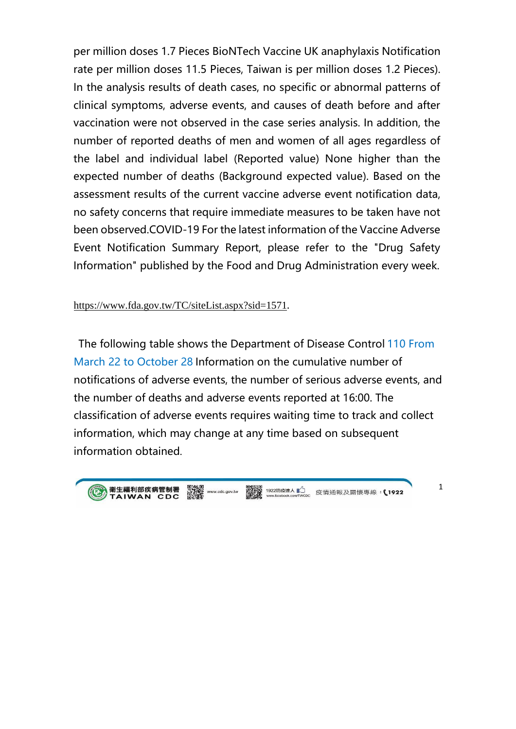per million doses 1.7 Pieces BioNTech Vaccine UK anaphylaxis Notification rate per million doses 11.5 Pieces, Taiwan is per million doses 1.2 Pieces). In the analysis results of death cases, no specific or abnormal patterns of clinical symptoms, adverse events, and causes of death before and after vaccination were not observed in the case series analysis. In addition, the number of reported deaths of men and women of all ages regardless of the label and individual label (Reported value) None higher than the expected number of deaths (Background expected value). Based on the assessment results of the current vaccine adverse event notification data, no safety concerns that require immediate measures to be taken have not been observed.COVID-19 For the latest information of the Vaccine Adverse Event Notification Summary Report, please refer to the "Drug Safety Information" published by the Food and Drug Administration every week.

<https://www.fda.gov.tw/TC/siteList.aspx?sid=1571>[.](https://www.fda.gov.tw/TC/siteList.aspx?sid=1571)

The following table shows the Department of Disease Control 110 From March 22 to October 28 Information on the cumulative number of notifications of adverse events, the number of serious adverse events, and the number of deaths and adverse events reported at 16:00. The classification of adverse events requires waiting time to track and collect information, which may change at any time based on subsequent information obtained.



国体通<br>23982 www.cdc.gov.tw 実現の 1922防疫達人 】<br>23982 www.cdc.gov.tw 実現の <br>日本概念

疫情通報及關懷專線: √1922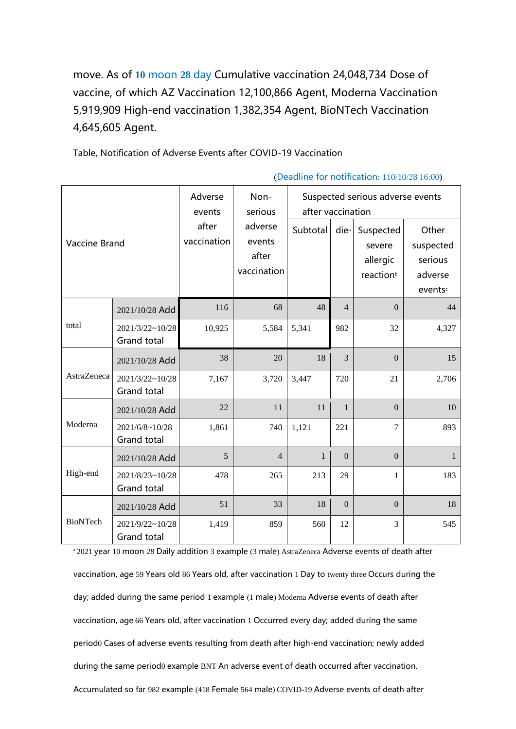move. As of **10** moon **28** day Cumulative vaccination 24,048,734 Dose of vaccine, of which AZ Vaccination 12,100,866 Agent, Moderna Vaccination 5,919,909 High-end vaccination 1,382,354 Agent, BioNTech Vaccination 4,645,605 Agent.

Table, Notification of Adverse Events after COVID-19 Vaccination

| <b>Vaccine Brand</b> |                                      | Adverse<br>events<br>after<br>vaccination | Non-<br>serious<br>adverse<br>events<br>after<br>vaccination | Suspected serious adverse events<br>after vaccination |                  |                                                          |                                                    |
|----------------------|--------------------------------------|-------------------------------------------|--------------------------------------------------------------|-------------------------------------------------------|------------------|----------------------------------------------------------|----------------------------------------------------|
|                      |                                      |                                           |                                                              | Subtotal                                              | die <sup>a</sup> | Suspected<br>severe<br>allergic<br>reaction <sup>b</sup> | Other<br>suspected<br>serious<br>adverse<br>events |
| total                | 2021/10/28 Add                       | 116                                       | 68                                                           | 48                                                    | $\overline{4}$   | $\mathbf{0}$                                             | 44                                                 |
|                      | 2021/3/22~10/28<br>Grand total       | 10,925                                    | 5,584                                                        | 5,341                                                 | 982              | 32                                                       | 4,327                                              |
| AstraZeneca          | 2021/10/28 Add                       | 38                                        | 20                                                           | 18                                                    | 3                | $\mathbf{0}$                                             | 15                                                 |
|                      | 2021/3/22~10/28<br>Grand total       | 7,167                                     | 3,720                                                        | 3,447                                                 | 720              | 21                                                       | 2,706                                              |
| Moderna              | 2021/10/28 Add                       | 22                                        | 11                                                           | 11                                                    | $\mathbf{1}$     | $\Omega$                                                 | 10                                                 |
|                      | $2021/6/8 \sim 10/28$<br>Grand total | 1,861                                     | 740                                                          | 1,121                                                 | 221              | $\overline{7}$                                           | 893                                                |
| High-end             | 2021/10/28 Add                       | 5                                         | $\overline{4}$                                               | $\mathbf{1}$                                          | $\overline{0}$   | $\Omega$                                                 | $\mathbf{1}$                                       |
|                      | 2021/8/23~10/28<br>Grand total       | 478                                       | 265                                                          | 213                                                   | 29               | $\mathbf{1}$                                             | 183                                                |
| <b>BioNTech</b>      | 2021/10/28 Add                       | 51                                        | 33                                                           | 18                                                    | $\overline{0}$   | $\Omega$                                                 | 18                                                 |
|                      | 2021/9/22~10/28<br>Grand total       | 1,419                                     | 859                                                          | 560                                                   | 12               | 3                                                        | 545                                                |

(Deadline for notification: 110/10/28 16:00)

a 2021 year 10 moon 28 Daily addition 3 example (3 male) AstraZeneca Adverse events of death after vaccination, age 59 Years old 86 Years old, after vaccination 1 Day to twenty three Occurs during the day; added during the same period 1 example (1 male) Moderna Adverse events of death after vaccination, age 66 Years old, after vaccination 1 Occurred every day; added during the same period0 Cases of adverse events resulting from death after high-end vaccination; newly added during the same period0 example BNT An adverse event of death occurred after vaccination. Accumulated so far 982 example (418 Female 564 male) COVID-19 Adverse events of death after